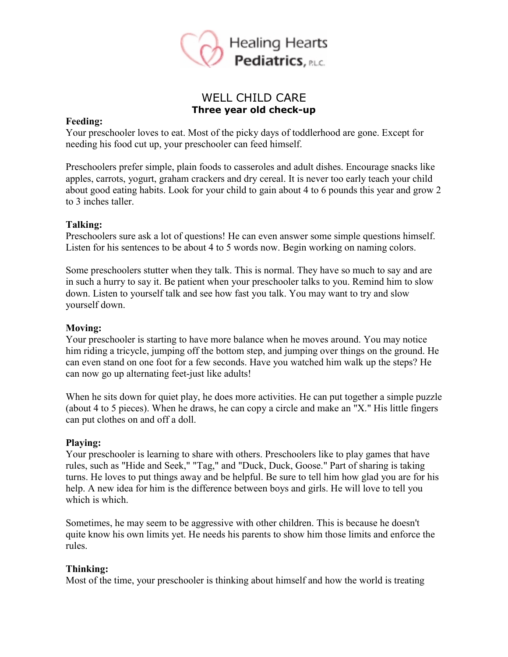

# WELL CHILD CARE **Three year old check-up**

#### **Feeding:**

Your preschooler loves to eat. Most of the picky days of toddlerhood are gone. Except for needing his food cut up, your preschooler can feed himself.

Preschoolers prefer simple, plain foods to casseroles and adult dishes. Encourage snacks like apples, carrots, yogurt, graham crackers and dry cereal. It is never too early teach your child about good eating habits. Look for your child to gain about 4 to 6 pounds this year and grow 2 to 3 inches taller.

#### **Talking:**

Preschoolers sure ask a lot of questions! He can even answer some simple questions himself. Listen for his sentences to be about 4 to 5 words now. Begin working on naming colors.

Some preschoolers stutter when they talk. This is normal. They have so much to say and are in such a hurry to say it. Be patient when your preschooler talks to you. Remind him to slow down. Listen to yourself talk and see how fast you talk. You may want to try and slow yourself down.

### **Moving:**

Your preschooler is starting to have more balance when he moves around. You may notice him riding a tricycle, jumping off the bottom step, and jumping over things on the ground. He can even stand on one foot for a few seconds. Have you watched him walk up the steps? He can now go up alternating feet-just like adults!

When he sits down for quiet play, he does more activities. He can put together a simple puzzle (about 4 to 5 pieces). When he draws, he can copy a circle and make an "X." His little fingers can put clothes on and off a doll.

#### **Playing:**

Your preschooler is learning to share with others. Preschoolers like to play games that have rules, such as "Hide and Seek," "Tag," and "Duck, Duck, Goose." Part of sharing is taking turns. He loves to put things away and be helpful. Be sure to tell him how glad you are for his help. A new idea for him is the difference between boys and girls. He will love to tell you which is which.

Sometimes, he may seem to be aggressive with other children. This is because he doesn't quite know his own limits yet. He needs his parents to show him those limits and enforce the rules.

#### **Thinking:**

Most of the time, your preschooler is thinking about himself and how the world is treating